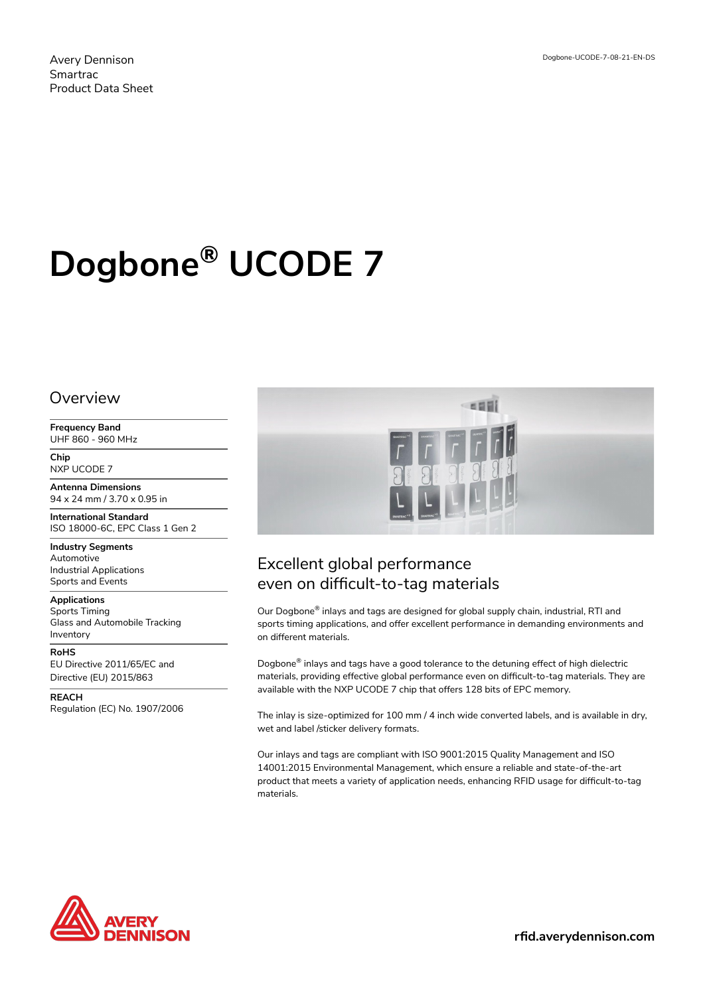# **Dogbone® UCODE 7**

### **Overview**

**Frequency Band** UHF 860 - 960 MHz

**Chip** NXP UCODE 7

**Antenna Dimensions** 94 x 24 mm / 3.70 x 0.95 in

**International Standard** ISO 18000-6C, EPC Class 1 Gen 2

**Industry Segments** Automotive Industrial Applications Sports and Events

**Applications** Sports Timing Glass and Automobile Tracking Inventory

**RoHS** EU Directive 2011/65/EC and Directive (EU) 2015/863

**REACH** Regulation (EC) No. 1907/2006



## Excellent global performance even on difficult-to-tag materials

Our Dogbone® inlays and tags are designed for global supply chain, industrial, RTI and sports timing applications, and offer excellent performance in demanding environments and on different materials.

Dogbone® inlays and tags have a good tolerance to the detuning effect of high dielectric materials, providing effective global performance even on difficult-to-tag materials. They are available with the NXP UCODE 7 chip that offers 128 bits of EPC memory.

The inlay is size-optimized for 100 mm / 4 inch wide converted labels, and is available in dry, wet and label /sticker delivery formats.

Our inlays and tags are compliant with ISO 9001:2015 Quality Management and ISO 14001:2015 Environmental Management, which ensure a reliable and state-of-the-art product that meets a variety of application needs, enhancing RFID usage for difficult-to-tag materials.